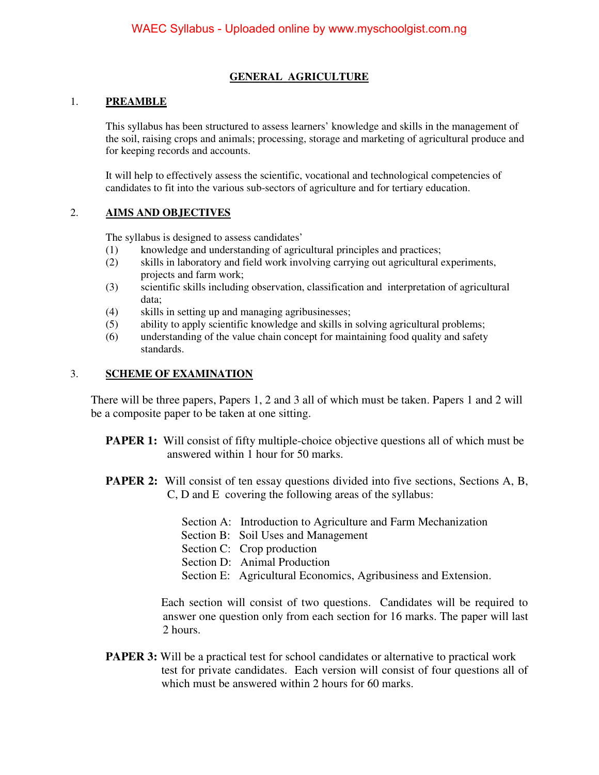#### **GENERAL AGRICULTURE**

#### 1. **PREAMBLE**

This syllabus has been structured to assess learners' knowledge and skills in the management of the soil, raising crops and animals; processing, storage and marketing of agricultural produce and for keeping records and accounts.

It will help to effectively assess the scientific, vocational and technological competencies of candidates to fit into the various sub-sectors of agriculture and for tertiary education.

#### 2. **AIMS AND OBJECTIVES**

The syllabus is designed to assess candidates'

- (1) knowledge and understanding of agricultural principles and practices;
- (2) skills in laboratory and field work involving carrying out agricultural experiments, projects and farm work;
- (3) scientific skills including observation, classification and interpretation of agricultural data;
- (4) skills in setting up and managing agribusinesses;
- (5) ability to apply scientific knowledge and skills in solving agricultural problems;
- (6) understanding of the value chain concept for maintaining food quality and safety standards.

#### 3. **SCHEME OF EXAMINATION**

 There will be three papers, Papers 1, 2 and 3 all of which must be taken. Papers 1 and 2 will be a composite paper to be taken at one sitting.

- **PAPER 1:** Will consist of fifty multiple-choice objective questions all of which must be answered within 1 hour for 50 marks.
- **PAPER 2:** Will consist of ten essay questions divided into five sections, Sections A, B, C, D and E covering the following areas of the syllabus:
	- Section A: Introduction to Agriculture and Farm Mechanization
	- Section B: Soil Uses and Management
	- Section C: Crop production
	- Section D: Animal Production
	- Section E: Agricultural Economics, Agribusiness and Extension.

 Each section will consist of two questions. Candidates will be required to answer one question only from each section for 16 marks. The paper will last 2 hours.

**PAPER 3:** Will be a practical test for school candidates or alternative to practical work test for private candidates. Each version will consist of four questions all of which must be answered within 2 hours for 60 marks.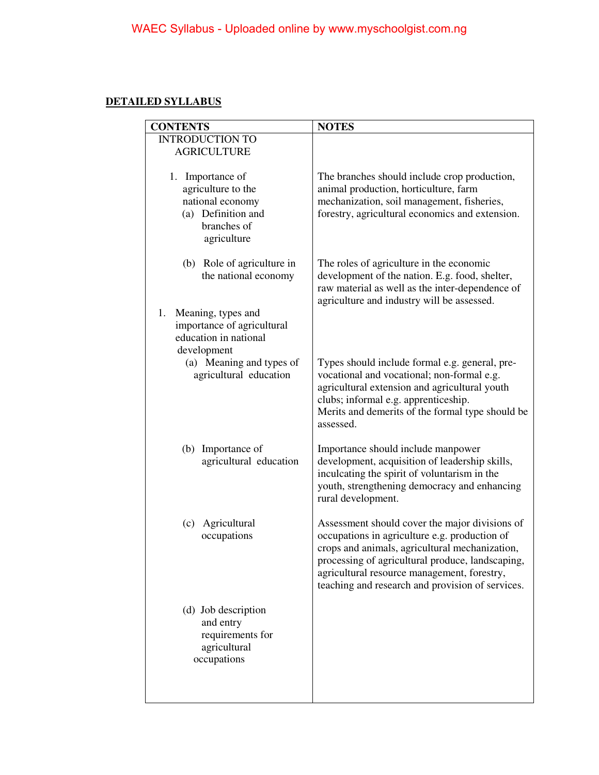#### **DETAILED SYLLABUS**

| <b>CONTENTS</b>                                                                                                | <b>NOTES</b>                                                                                                                                                                                                                                                                                             |
|----------------------------------------------------------------------------------------------------------------|----------------------------------------------------------------------------------------------------------------------------------------------------------------------------------------------------------------------------------------------------------------------------------------------------------|
| <b>INTRODUCTION TO</b><br><b>AGRICULTURE</b>                                                                   |                                                                                                                                                                                                                                                                                                          |
| 1. Importance of<br>agriculture to the<br>national economy<br>(a) Definition and<br>branches of<br>agriculture | The branches should include crop production,<br>animal production, horticulture, farm<br>mechanization, soil management, fisheries,<br>forestry, agricultural economics and extension.                                                                                                                   |
| (b) Role of agriculture in<br>the national economy                                                             | The roles of agriculture in the economic<br>development of the nation. E.g. food, shelter,<br>raw material as well as the inter-dependence of<br>agriculture and industry will be assessed.                                                                                                              |
| Meaning, types and<br>1.<br>importance of agricultural<br>education in national<br>development                 |                                                                                                                                                                                                                                                                                                          |
| (a) Meaning and types of<br>agricultural education                                                             | Types should include formal e.g. general, pre-<br>vocational and vocational; non-formal e.g.<br>agricultural extension and agricultural youth<br>clubs; informal e.g. apprenticeship.<br>Merits and demerits of the formal type should be<br>assessed.                                                   |
| (b) Importance of<br>agricultural education                                                                    | Importance should include manpower<br>development, acquisition of leadership skills,<br>inculcating the spirit of voluntarism in the<br>youth, strengthening democracy and enhancing<br>rural development.                                                                                               |
| Agricultural<br>(c)<br>occupations                                                                             | Assessment should cover the major divisions of<br>occupations in agriculture e.g. production of<br>crops and animals, agricultural mechanization,<br>processing of agricultural produce, landscaping,<br>agricultural resource management, forestry,<br>teaching and research and provision of services. |
| (d) Job description<br>and entry<br>requirements for<br>agricultural<br>occupations                            |                                                                                                                                                                                                                                                                                                          |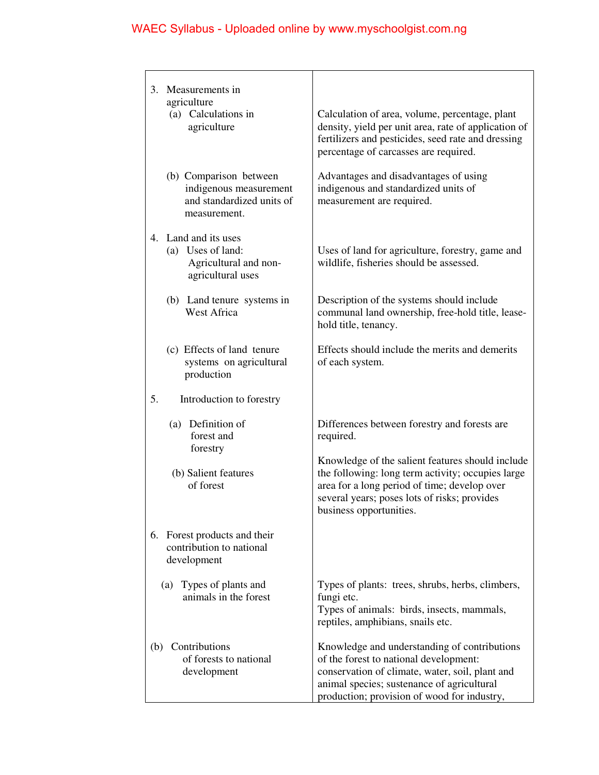| 3.<br>Measurements in<br>agriculture<br>(a) Calculations in<br>agriculture                    | Calculation of area, volume, percentage, plant<br>density, yield per unit area, rate of application of<br>fertilizers and pesticides, seed rate and dressing                                                                           |
|-----------------------------------------------------------------------------------------------|----------------------------------------------------------------------------------------------------------------------------------------------------------------------------------------------------------------------------------------|
| (b) Comparison between<br>indigenous measurement<br>and standardized units of<br>measurement. | percentage of carcasses are required.<br>Advantages and disadvantages of using<br>indigenous and standardized units of<br>measurement are required.                                                                                    |
| 4. Land and its uses<br>(a) Uses of land:<br>Agricultural and non-<br>agricultural uses       | Uses of land for agriculture, forestry, game and<br>wildlife, fisheries should be assessed.                                                                                                                                            |
| (b) Land tenure systems in<br><b>West Africa</b>                                              | Description of the systems should include<br>communal land ownership, free-hold title, lease-<br>hold title, tenancy.                                                                                                                  |
| (c) Effects of land tenure<br>systems on agricultural<br>production                           | Effects should include the merits and demerits<br>of each system.                                                                                                                                                                      |
| 5.<br>Introduction to forestry                                                                |                                                                                                                                                                                                                                        |
| (a) Definition of<br>forest and<br>forestry                                                   | Differences between forestry and forests are<br>required.                                                                                                                                                                              |
| (b) Salient features<br>of forest                                                             | Knowledge of the salient features should include<br>the following: long term activity; occupies large<br>area for a long period of time; develop over<br>several years; poses lots of risks; provides<br>business opportunities.       |
| 6. Forest products and their<br>contribution to national<br>development                       |                                                                                                                                                                                                                                        |
| (a) Types of plants and<br>animals in the forest                                              | Types of plants: trees, shrubs, herbs, climbers,<br>fungi etc.<br>Types of animals: birds, insects, mammals,<br>reptiles, amphibians, snails etc.                                                                                      |
| Contributions<br>(b)<br>of forests to national<br>development                                 | Knowledge and understanding of contributions<br>of the forest to national development:<br>conservation of climate, water, soil, plant and<br>animal species; sustenance of agricultural<br>production; provision of wood for industry, |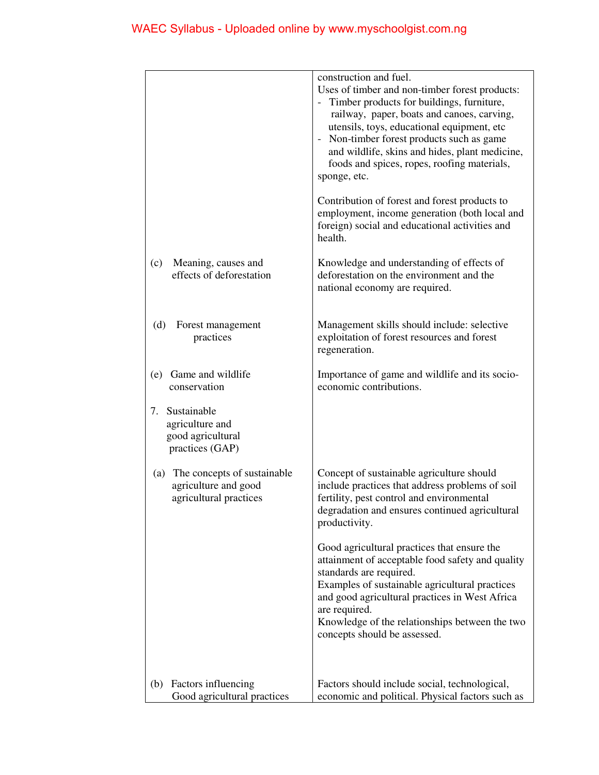|                                                                                      | construction and fuel.<br>Uses of timber and non-timber forest products:<br>- Timber products for buildings, furniture,<br>railway, paper, boats and canoes, carving,<br>utensils, toys, educational equipment, etc<br>- Non-timber forest products such as game<br>and wildlife, skins and hides, plant medicine,<br>foods and spices, ropes, roofing materials,<br>sponge, etc.<br>Contribution of forest and forest products to<br>employment, income generation (both local and<br>foreign) social and educational activities and<br>health. |
|--------------------------------------------------------------------------------------|--------------------------------------------------------------------------------------------------------------------------------------------------------------------------------------------------------------------------------------------------------------------------------------------------------------------------------------------------------------------------------------------------------------------------------------------------------------------------------------------------------------------------------------------------|
| Meaning, causes and<br>(c)<br>effects of deforestation                               | Knowledge and understanding of effects of<br>deforestation on the environment and the<br>national economy are required.                                                                                                                                                                                                                                                                                                                                                                                                                          |
| Forest management<br>(d)<br>practices                                                | Management skills should include: selective<br>exploitation of forest resources and forest<br>regeneration.                                                                                                                                                                                                                                                                                                                                                                                                                                      |
| Game and wildlife<br>(e)<br>conservation                                             | Importance of game and wildlife and its socio-<br>economic contributions.                                                                                                                                                                                                                                                                                                                                                                                                                                                                        |
| 7.<br>Sustainable<br>agriculture and<br>good agricultural<br>practices (GAP)         |                                                                                                                                                                                                                                                                                                                                                                                                                                                                                                                                                  |
| The concepts of sustainable<br>(a)<br>agriculture and good<br>agricultural practices | Concept of sustainable agriculture should<br>include practices that address problems of soil<br>fertility, pest control and environmental<br>degradation and ensures continued agricultural<br>productivity.                                                                                                                                                                                                                                                                                                                                     |
|                                                                                      | Good agricultural practices that ensure the<br>attainment of acceptable food safety and quality<br>standards are required.<br>Examples of sustainable agricultural practices<br>and good agricultural practices in West Africa<br>are required.<br>Knowledge of the relationships between the two<br>concepts should be assessed.                                                                                                                                                                                                                |
| Factors influencing<br>(b)<br>Good agricultural practices                            | Factors should include social, technological,<br>economic and political. Physical factors such as                                                                                                                                                                                                                                                                                                                                                                                                                                                |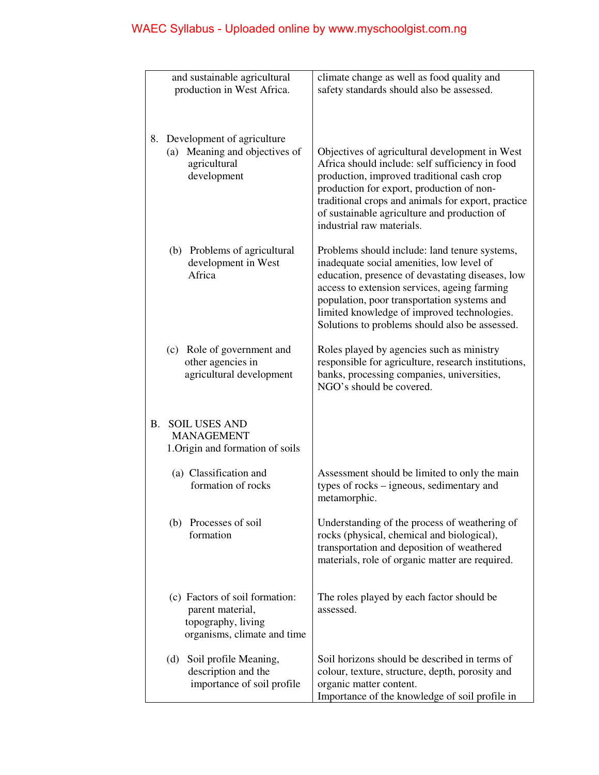|    | and sustainable agricultural                                                                            | climate change as well as food quality and                                                                                                                                                                                                                                                                                                     |
|----|---------------------------------------------------------------------------------------------------------|------------------------------------------------------------------------------------------------------------------------------------------------------------------------------------------------------------------------------------------------------------------------------------------------------------------------------------------------|
|    | production in West Africa.                                                                              | safety standards should also be assessed.                                                                                                                                                                                                                                                                                                      |
|    |                                                                                                         |                                                                                                                                                                                                                                                                                                                                                |
| 8. | Development of agriculture<br>(a) Meaning and objectives of<br>agricultural<br>development              | Objectives of agricultural development in West<br>Africa should include: self sufficiency in food<br>production, improved traditional cash crop<br>production for export, production of non-<br>traditional crops and animals for export, practice<br>of sustainable agriculture and production of<br>industrial raw materials.                |
|    | (b) Problems of agricultural<br>development in West<br>Africa                                           | Problems should include: land tenure systems,<br>inadequate social amenities, low level of<br>education, presence of devastating diseases, low<br>access to extension services, ageing farming<br>population, poor transportation systems and<br>limited knowledge of improved technologies.<br>Solutions to problems should also be assessed. |
|    | (c) Role of government and<br>other agencies in<br>agricultural development                             | Roles played by agencies such as ministry<br>responsible for agriculture, research institutions,<br>banks, processing companies, universities,<br>NGO's should be covered.                                                                                                                                                                     |
|    | <b>B. SOIL USES AND</b><br><b>MANAGEMENT</b><br>1. Origin and formation of soils                        |                                                                                                                                                                                                                                                                                                                                                |
|    | (a) Classification and<br>formation of rocks                                                            | Assessment should be limited to only the main<br>types of rocks – igneous, sedimentary and<br>metamorphic.                                                                                                                                                                                                                                     |
|    | Processes of soil<br>(b)<br>formation                                                                   | Understanding of the process of weathering of<br>rocks (physical, chemical and biological),<br>transportation and deposition of weathered<br>materials, role of organic matter are required.                                                                                                                                                   |
|    | (c) Factors of soil formation:<br>parent material,<br>topography, living<br>organisms, climate and time | The roles played by each factor should be<br>assessed.                                                                                                                                                                                                                                                                                         |
|    | Soil profile Meaning,<br>(d)<br>description and the<br>importance of soil profile                       | Soil horizons should be described in terms of<br>colour, texture, structure, depth, porosity and<br>organic matter content.<br>Importance of the knowledge of soil profile in                                                                                                                                                                  |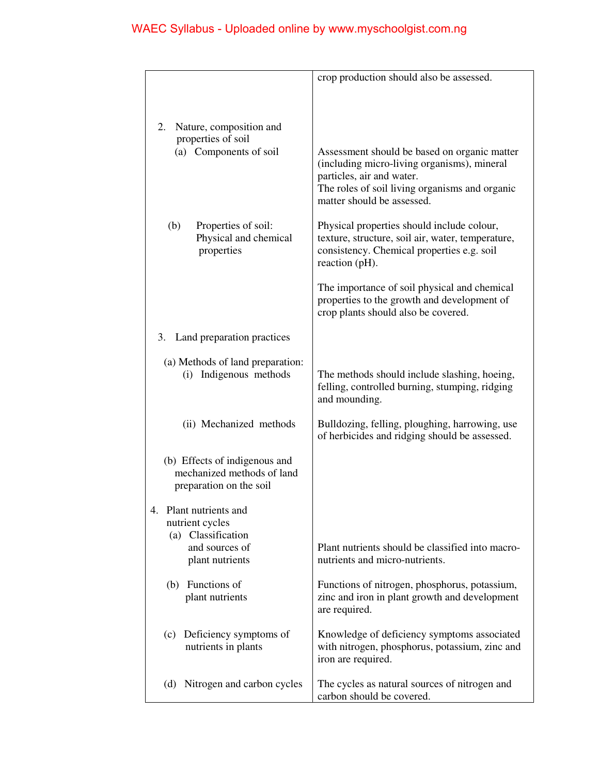|                                         | crop production should also be assessed.                                                        |
|-----------------------------------------|-------------------------------------------------------------------------------------------------|
|                                         |                                                                                                 |
|                                         |                                                                                                 |
| Nature, composition and<br>2.           |                                                                                                 |
| properties of soil                      |                                                                                                 |
| (a) Components of soil                  | Assessment should be based on organic matter<br>(including micro-living organisms), mineral     |
|                                         | particles, air and water.                                                                       |
|                                         | The roles of soil living organisms and organic<br>matter should be assessed.                    |
|                                         |                                                                                                 |
| (b)<br>Properties of soil:              | Physical properties should include colour,                                                      |
| Physical and chemical<br>properties     | texture, structure, soil air, water, temperature,<br>consistency. Chemical properties e.g. soil |
|                                         | reaction (pH).                                                                                  |
|                                         | The importance of soil physical and chemical                                                    |
|                                         | properties to the growth and development of                                                     |
|                                         | crop plants should also be covered.                                                             |
| Land preparation practices<br>3.        |                                                                                                 |
| (a) Methods of land preparation:        |                                                                                                 |
| Indigenous methods<br>(i)               | The methods should include slashing, hoeing,<br>felling, controlled burning, stumping, ridging  |
|                                         | and mounding.                                                                                   |
| (ii) Mechanized methods                 | Bulldozing, felling, ploughing, harrowing, use                                                  |
|                                         | of herbicides and ridging should be assessed.                                                   |
| (b) Effects of indigenous and           |                                                                                                 |
| mechanized methods of land              |                                                                                                 |
| preparation on the soil                 |                                                                                                 |
| Plant nutrients and<br>4.               |                                                                                                 |
| nutrient cycles                         |                                                                                                 |
| Classification<br>(a)<br>and sources of | Plant nutrients should be classified into macro-                                                |
| plant nutrients                         | nutrients and micro-nutrients.                                                                  |
| (b) Functions of                        | Functions of nitrogen, phosphorus, potassium,                                                   |
| plant nutrients                         | zinc and iron in plant growth and development                                                   |
|                                         | are required.                                                                                   |
| Deficiency symptoms of<br>(c)           | Knowledge of deficiency symptoms associated                                                     |
| nutrients in plants                     | with nitrogen, phosphorus, potassium, zinc and<br>iron are required.                            |
|                                         |                                                                                                 |
| (d) Nitrogen and carbon cycles          | The cycles as natural sources of nitrogen and                                                   |
|                                         | carbon should be covered.                                                                       |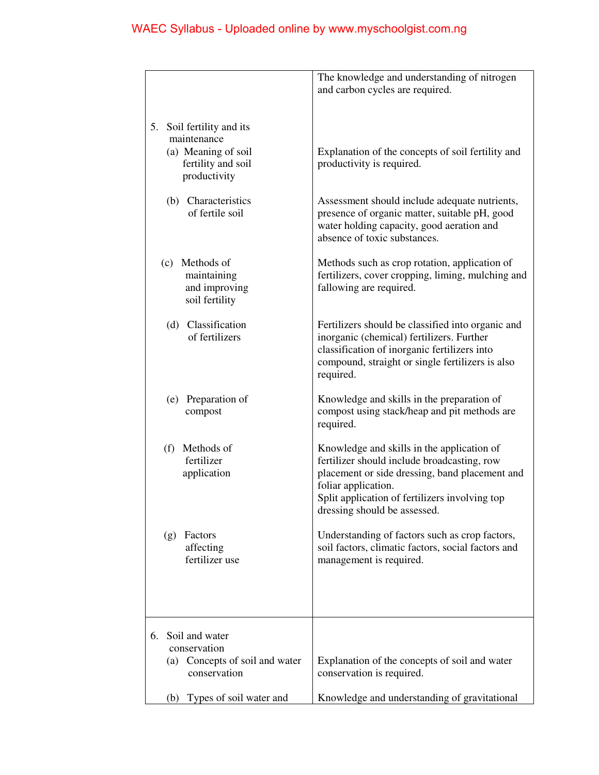|                                                                                                          | The knowledge and understanding of nitrogen                                                                                                                                                                                                          |
|----------------------------------------------------------------------------------------------------------|------------------------------------------------------------------------------------------------------------------------------------------------------------------------------------------------------------------------------------------------------|
|                                                                                                          | and carbon cycles are required.                                                                                                                                                                                                                      |
|                                                                                                          |                                                                                                                                                                                                                                                      |
| 5.<br>Soil fertility and its<br>maintenance<br>(a) Meaning of soil<br>fertility and soil<br>productivity | Explanation of the concepts of soil fertility and<br>productivity is required.                                                                                                                                                                       |
| (b) Characteristics<br>of fertile soil                                                                   | Assessment should include adequate nutrients,<br>presence of organic matter, suitable pH, good<br>water holding capacity, good aeration and<br>absence of toxic substances.                                                                          |
| (c) Methods of<br>maintaining<br>and improving<br>soil fertility                                         | Methods such as crop rotation, application of<br>fertilizers, cover cropping, liming, mulching and<br>fallowing are required.                                                                                                                        |
| (d) Classification<br>of fertilizers                                                                     | Fertilizers should be classified into organic and<br>inorganic (chemical) fertilizers. Further<br>classification of inorganic fertilizers into<br>compound, straight or single fertilizers is also<br>required.                                      |
| (e) Preparation of<br>compost                                                                            | Knowledge and skills in the preparation of<br>compost using stack/heap and pit methods are<br>required.                                                                                                                                              |
| (f) Methods of<br>fertilizer<br>application                                                              | Knowledge and skills in the application of<br>fertilizer should include broadcasting, row<br>placement or side dressing, band placement and<br>foliar application.<br>Split application of fertilizers involving top<br>dressing should be assessed. |
| Factors<br>(g)<br>affecting<br>fertilizer use                                                            | Understanding of factors such as crop factors,<br>soil factors, climatic factors, social factors and<br>management is required.                                                                                                                      |
| Soil and water<br>6.<br>conservation<br>(a) Concepts of soil and water<br>conservation                   | Explanation of the concepts of soil and water<br>conservation is required.                                                                                                                                                                           |
| Types of soil water and<br>(b)                                                                           | Knowledge and understanding of gravitational                                                                                                                                                                                                         |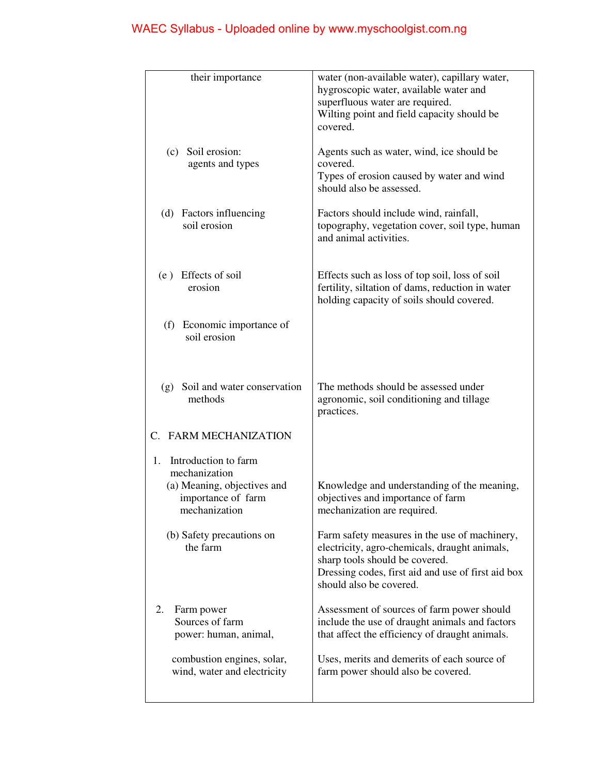| their importance                                  | water (non-available water), capillary water,                                                  |
|---------------------------------------------------|------------------------------------------------------------------------------------------------|
|                                                   | hygroscopic water, available water and                                                         |
|                                                   | superfluous water are required.                                                                |
|                                                   | Wilting point and field capacity should be<br>covered.                                         |
|                                                   |                                                                                                |
| (c) Soil erosion:<br>agents and types             | Agents such as water, wind, ice should be<br>covered.                                          |
|                                                   | Types of erosion caused by water and wind                                                      |
|                                                   | should also be assessed.                                                                       |
| (d) Factors influencing                           | Factors should include wind, rainfall,                                                         |
| soil erosion                                      | topography, vegetation cover, soil type, human                                                 |
|                                                   | and animal activities.                                                                         |
| (e) Effects of soil                               | Effects such as loss of top soil, loss of soil                                                 |
| erosion                                           | fertility, siltation of dams, reduction in water                                               |
|                                                   | holding capacity of soils should covered.                                                      |
| (f) Economic importance of                        |                                                                                                |
| soil erosion                                      |                                                                                                |
|                                                   |                                                                                                |
|                                                   |                                                                                                |
| Soil and water conservation<br>(g)                | The methods should be assessed under                                                           |
| methods                                           | agronomic, soil conditioning and tillage                                                       |
|                                                   | practices.                                                                                     |
| C. FARM MECHANIZATION                             |                                                                                                |
| 1. Introduction to farm                           |                                                                                                |
| mechanization                                     |                                                                                                |
| (a) Meaning, objectives and<br>importance of farm | Knowledge and understanding of the meaning,<br>objectives and importance of farm               |
| mechanization                                     | mechanization are required.                                                                    |
|                                                   |                                                                                                |
| (b) Safety precautions on<br>the farm             | Farm safety measures in the use of machinery,<br>electricity, agro-chemicals, draught animals, |
|                                                   | sharp tools should be covered.                                                                 |
|                                                   | Dressing codes, first aid and use of first aid box                                             |
|                                                   | should also be covered.                                                                        |
| 2.<br>Farm power                                  | Assessment of sources of farm power should                                                     |
| Sources of farm                                   | include the use of draught animals and factors                                                 |
| power: human, animal,                             | that affect the efficiency of draught animals.                                                 |
| combustion engines, solar,                        | Uses, merits and demerits of each source of                                                    |
| wind, water and electricity                       | farm power should also be covered.                                                             |
|                                                   |                                                                                                |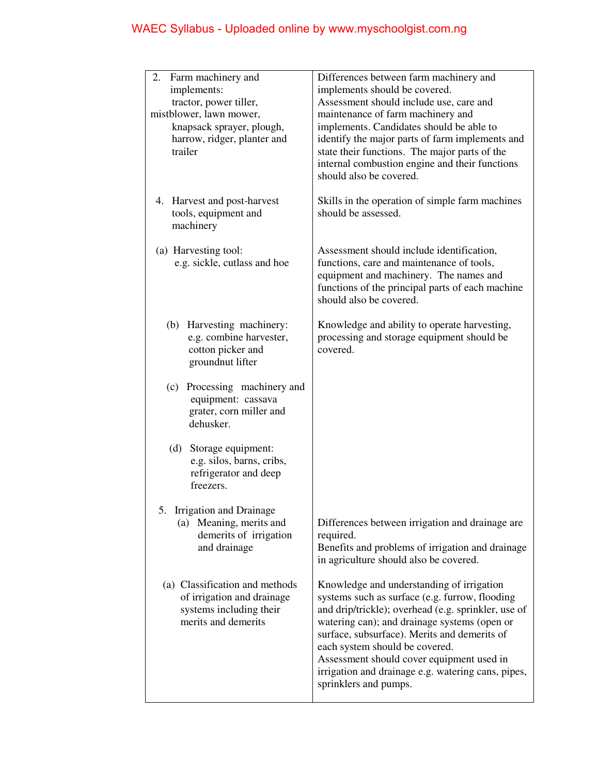| 2.<br>Farm machinery and       | Differences between farm machinery and              |
|--------------------------------|-----------------------------------------------------|
| implements:                    | implements should be covered.                       |
| tractor, power tiller,         | Assessment should include use, care and             |
| mistblower, lawn mower,        | maintenance of farm machinery and                   |
| knapsack sprayer, plough,      | implements. Candidates should be able to            |
| harrow, ridger, planter and    | identify the major parts of farm implements and     |
| trailer                        | state their functions. The major parts of the       |
|                                | internal combustion engine and their functions      |
|                                | should also be covered.                             |
|                                |                                                     |
| 4. Harvest and post-harvest    | Skills in the operation of simple farm machines     |
| tools, equipment and           | should be assessed.                                 |
| machinery                      |                                                     |
|                                |                                                     |
| (a) Harvesting tool:           | Assessment should include identification,           |
| e.g. sickle, cutlass and hoe   | functions, care and maintenance of tools,           |
|                                | equipment and machinery. The names and              |
|                                | functions of the principal parts of each machine    |
|                                | should also be covered.                             |
|                                |                                                     |
| (b) Harvesting machinery:      | Knowledge and ability to operate harvesting,        |
| e.g. combine harvester,        | processing and storage equipment should be          |
| cotton picker and              | covered.                                            |
| groundnut lifter               |                                                     |
|                                |                                                     |
| (c) Processing machinery and   |                                                     |
| equipment: cassava             |                                                     |
| grater, corn miller and        |                                                     |
| dehusker.                      |                                                     |
| Storage equipment:<br>(d)      |                                                     |
| e.g. silos, barns, cribs,      |                                                     |
| refrigerator and deep          |                                                     |
| freezers.                      |                                                     |
|                                |                                                     |
| Irrigation and Drainage        |                                                     |
| (a) Meaning, merits and        | Differences between irrigation and drainage are     |
| demerits of irrigation         | required.                                           |
| and drainage                   | Benefits and problems of irrigation and drainage    |
|                                | in agriculture should also be covered.              |
|                                |                                                     |
| (a) Classification and methods | Knowledge and understanding of irrigation           |
| of irrigation and drainage     | systems such as surface (e.g. furrow, flooding      |
| systems including their        | and drip/trickle); overhead (e.g. sprinkler, use of |
| merits and demerits            | watering can); and drainage systems (open or        |
|                                | surface, subsurface). Merits and demerits of        |
|                                | each system should be covered.                      |
|                                | Assessment should cover equipment used in           |
|                                | irrigation and drainage e.g. watering cans, pipes,  |
|                                | sprinklers and pumps.                               |
|                                |                                                     |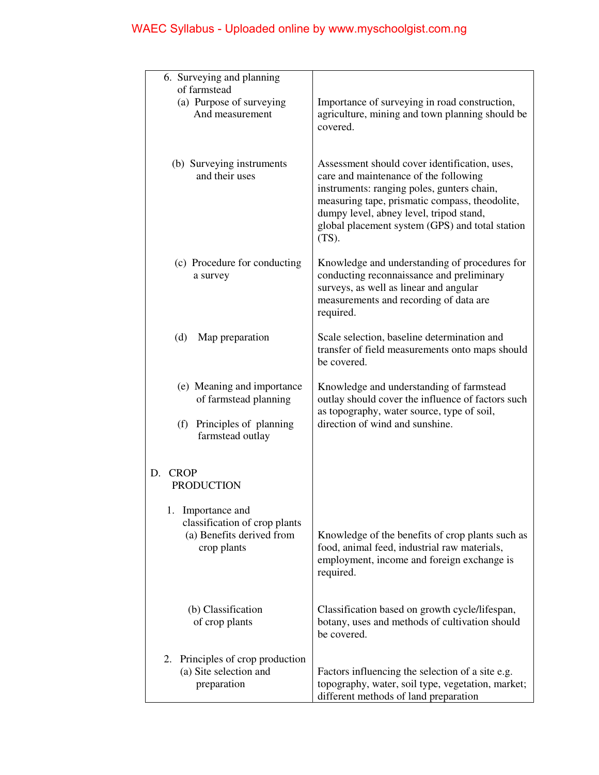| 6. Surveying and planning                             |                                                                                               |
|-------------------------------------------------------|-----------------------------------------------------------------------------------------------|
| of farmstead<br>(a) Purpose of surveying              | Importance of surveying in road construction,                                                 |
| And measurement                                       | agriculture, mining and town planning should be                                               |
|                                                       | covered.                                                                                      |
|                                                       |                                                                                               |
| (b) Surveying instruments                             | Assessment should cover identification, uses,                                                 |
| and their uses                                        | care and maintenance of the following<br>instruments: ranging poles, gunters chain,           |
|                                                       | measuring tape, prismatic compass, theodolite,                                                |
|                                                       | dumpy level, abney level, tripod stand,                                                       |
|                                                       | global placement system (GPS) and total station<br>$(TS)$ .                                   |
|                                                       |                                                                                               |
| (c) Procedure for conducting                          | Knowledge and understanding of procedures for<br>conducting reconnaissance and preliminary    |
| a survey                                              | surveys, as well as linear and angular                                                        |
|                                                       | measurements and recording of data are                                                        |
|                                                       | required.                                                                                     |
| (d)<br>Map preparation                                | Scale selection, baseline determination and                                                   |
|                                                       | transfer of field measurements onto maps should<br>be covered.                                |
|                                                       |                                                                                               |
| (e) Meaning and importance<br>of farmstead planning   | Knowledge and understanding of farmstead<br>outlay should cover the influence of factors such |
|                                                       | as topography, water source, type of soil,                                                    |
| (f) Principles of planning                            | direction of wind and sunshine.                                                               |
| farmstead outlay                                      |                                                                                               |
|                                                       |                                                                                               |
| D.<br><b>CROP</b><br><b>PRODUCTION</b>                |                                                                                               |
|                                                       |                                                                                               |
| 1.<br>Importance and<br>classification of crop plants |                                                                                               |
| (a) Benefits derived from                             | Knowledge of the benefits of crop plants such as                                              |
| crop plants                                           | food, animal feed, industrial raw materials,                                                  |
|                                                       | employment, income and foreign exchange is<br>required.                                       |
|                                                       |                                                                                               |
| (b) Classification                                    | Classification based on growth cycle/lifespan,                                                |
| of crop plants                                        | botany, uses and methods of cultivation should                                                |
|                                                       | be covered.                                                                                   |
| Principles of crop production<br>2.                   |                                                                                               |
| (a) Site selection and                                | Factors influencing the selection of a site e.g.                                              |
| preparation                                           | topography, water, soil type, vegetation, market;<br>different methods of land preparation    |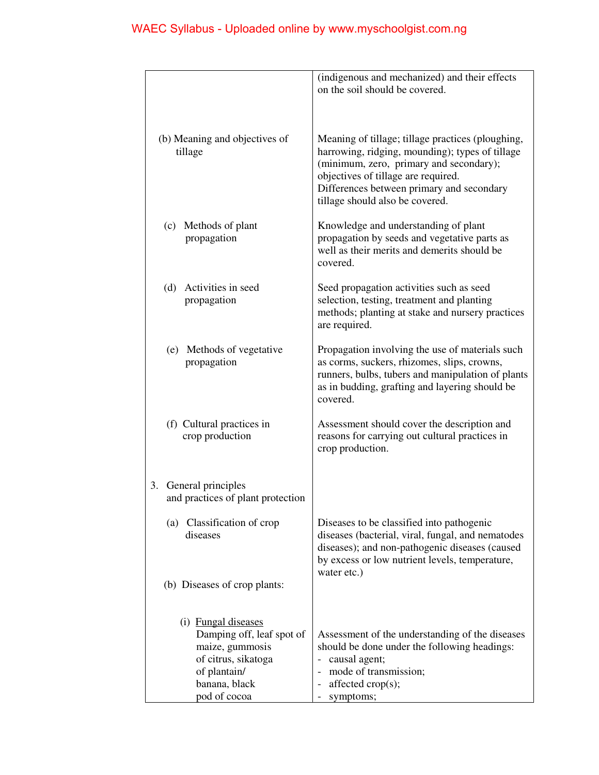|                                                                                                                                             | (indigenous and mechanized) and their effects<br>on the soil should be covered.                                                                                                                                                                                        |
|---------------------------------------------------------------------------------------------------------------------------------------------|------------------------------------------------------------------------------------------------------------------------------------------------------------------------------------------------------------------------------------------------------------------------|
| (b) Meaning and objectives of<br>tillage                                                                                                    | Meaning of tillage; tillage practices (ploughing,<br>harrowing, ridging, mounding); types of tillage<br>(minimum, zero, primary and secondary);<br>objectives of tillage are required.<br>Differences between primary and secondary<br>tillage should also be covered. |
| (c) Methods of plant<br>propagation                                                                                                         | Knowledge and understanding of plant<br>propagation by seeds and vegetative parts as<br>well as their merits and demerits should be<br>covered.                                                                                                                        |
| (d) Activities in seed<br>propagation                                                                                                       | Seed propagation activities such as seed<br>selection, testing, treatment and planting<br>methods; planting at stake and nursery practices<br>are required.                                                                                                            |
| (e) Methods of vegetative<br>propagation                                                                                                    | Propagation involving the use of materials such<br>as corms, suckers, rhizomes, slips, crowns,<br>runners, bulbs, tubers and manipulation of plants<br>as in budding, grafting and layering should be<br>covered.                                                      |
| (f) Cultural practices in<br>crop production                                                                                                | Assessment should cover the description and<br>reasons for carrying out cultural practices in<br>crop production.                                                                                                                                                      |
| General principles<br>3.<br>and practices of plant protection                                                                               |                                                                                                                                                                                                                                                                        |
| (a) Classification of crop<br>diseases                                                                                                      | Diseases to be classified into pathogenic<br>diseases (bacterial, viral, fungal, and nematodes<br>diseases); and non-pathogenic diseases (caused<br>by excess or low nutrient levels, temperature,<br>water etc.)                                                      |
| (b) Diseases of crop plants:                                                                                                                |                                                                                                                                                                                                                                                                        |
| (i) Fungal diseases<br>Damping off, leaf spot of<br>maize, gummosis<br>of citrus, sikatoga<br>of plantain/<br>banana, black<br>pod of cocoa | Assessment of the understanding of the diseases<br>should be done under the following headings:<br>causal agent;<br>mode of transmission;<br>$\sim$<br>affected crop(s);<br>$\overline{\phantom{0}}$<br>symptoms;                                                      |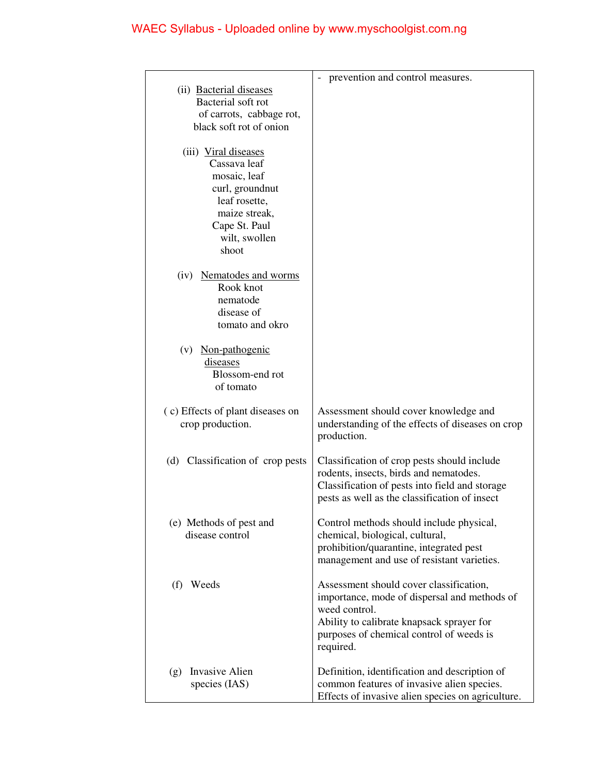|                                            | prevention and control measures.                                                                |
|--------------------------------------------|-------------------------------------------------------------------------------------------------|
| (ii) Bacterial diseases                    |                                                                                                 |
| Bacterial soft rot                         |                                                                                                 |
| of carrots, cabbage rot,                   |                                                                                                 |
| black soft rot of onion                    |                                                                                                 |
| (iii) Viral diseases                       |                                                                                                 |
| Cassava leaf                               |                                                                                                 |
| mosaic, leaf                               |                                                                                                 |
| curl, groundnut                            |                                                                                                 |
| leaf rosette,<br>maize streak,             |                                                                                                 |
| Cape St. Paul                              |                                                                                                 |
| wilt, swollen                              |                                                                                                 |
| shoot                                      |                                                                                                 |
|                                            |                                                                                                 |
| (iv) Nematodes and worms<br>Rook knot      |                                                                                                 |
| nematode                                   |                                                                                                 |
| disease of                                 |                                                                                                 |
| tomato and okro                            |                                                                                                 |
| (v) Non-pathogenic                         |                                                                                                 |
| diseases                                   |                                                                                                 |
| Blossom-end rot                            |                                                                                                 |
| of tomato                                  |                                                                                                 |
| (c) Effects of plant diseases on           | Assessment should cover knowledge and                                                           |
| crop production.                           | understanding of the effects of diseases on crop                                                |
|                                            | production.                                                                                     |
|                                            |                                                                                                 |
| (d) Classification of crop pests           | Classification of crop pests should include<br>rodents, insects, birds and nematodes.           |
|                                            | Classification of pests into field and storage                                                  |
|                                            | pests as well as the classification of insect                                                   |
|                                            |                                                                                                 |
| (e) Methods of pest and<br>disease control | Control methods should include physical,<br>chemical, biological, cultural,                     |
|                                            | prohibition/quarantine, integrated pest                                                         |
|                                            | management and use of resistant varieties.                                                      |
|                                            |                                                                                                 |
| (f) Weeds                                  | Assessment should cover classification,                                                         |
|                                            | importance, mode of dispersal and methods of<br>weed control.                                   |
|                                            | Ability to calibrate knapsack sprayer for                                                       |
|                                            | purposes of chemical control of weeds is                                                        |
|                                            | required.                                                                                       |
|                                            |                                                                                                 |
| (g) Invasive Alien                         | Definition, identification and description of                                                   |
| species (IAS)                              | common features of invasive alien species.<br>Effects of invasive alien species on agriculture. |
|                                            |                                                                                                 |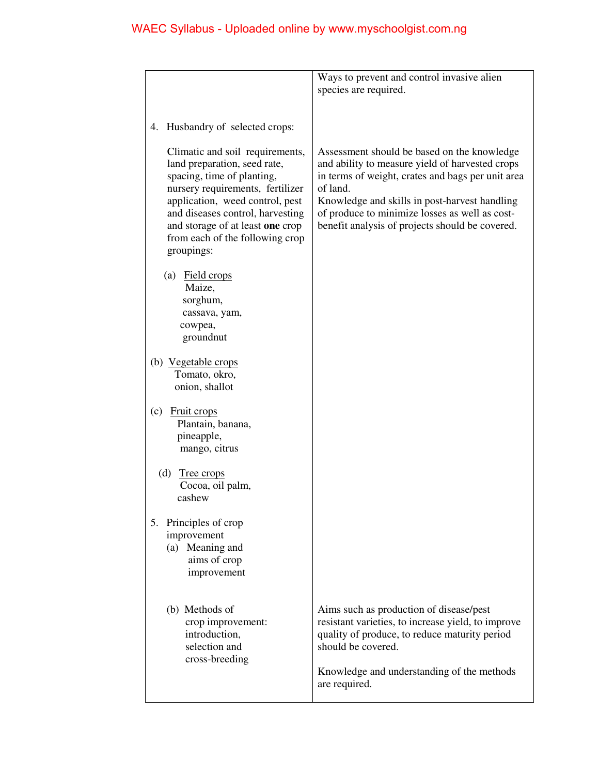|                                                                                                                                                                                                                                                                                               | Ways to prevent and control invasive alien                                                                                                                                                                                                                                                                            |
|-----------------------------------------------------------------------------------------------------------------------------------------------------------------------------------------------------------------------------------------------------------------------------------------------|-----------------------------------------------------------------------------------------------------------------------------------------------------------------------------------------------------------------------------------------------------------------------------------------------------------------------|
|                                                                                                                                                                                                                                                                                               | species are required.                                                                                                                                                                                                                                                                                                 |
|                                                                                                                                                                                                                                                                                               |                                                                                                                                                                                                                                                                                                                       |
| 4. Husbandry of selected crops:                                                                                                                                                                                                                                                               |                                                                                                                                                                                                                                                                                                                       |
| Climatic and soil requirements,<br>land preparation, seed rate,<br>spacing, time of planting,<br>nursery requirements, fertilizer<br>application, weed control, pest<br>and diseases control, harvesting<br>and storage of at least one crop<br>from each of the following crop<br>groupings: | Assessment should be based on the knowledge<br>and ability to measure yield of harvested crops<br>in terms of weight, crates and bags per unit area<br>of land.<br>Knowledge and skills in post-harvest handling<br>of produce to minimize losses as well as cost-<br>benefit analysis of projects should be covered. |
| (a) Field crops<br>Maize,<br>sorghum,<br>cassava, yam,<br>cowpea,<br>groundnut                                                                                                                                                                                                                |                                                                                                                                                                                                                                                                                                                       |
| (b) Vegetable crops<br>Tomato, okro,<br>onion, shallot                                                                                                                                                                                                                                        |                                                                                                                                                                                                                                                                                                                       |
| (c)<br><b>Fruit crops</b><br>Plantain, banana,<br>pineapple,<br>mango, citrus                                                                                                                                                                                                                 |                                                                                                                                                                                                                                                                                                                       |
| (d)<br>Tree crops<br>Cocoa, oil palm,<br>cashew                                                                                                                                                                                                                                               |                                                                                                                                                                                                                                                                                                                       |
| 5. Principles of crop<br>improvement<br>(a) Meaning and<br>aims of crop<br>improvement                                                                                                                                                                                                        |                                                                                                                                                                                                                                                                                                                       |
| (b) Methods of<br>crop improvement:<br>introduction,<br>selection and<br>cross-breeding                                                                                                                                                                                                       | Aims such as production of disease/pest<br>resistant varieties, to increase yield, to improve<br>quality of produce, to reduce maturity period<br>should be covered.<br>Knowledge and understanding of the methods                                                                                                    |
|                                                                                                                                                                                                                                                                                               | are required.                                                                                                                                                                                                                                                                                                         |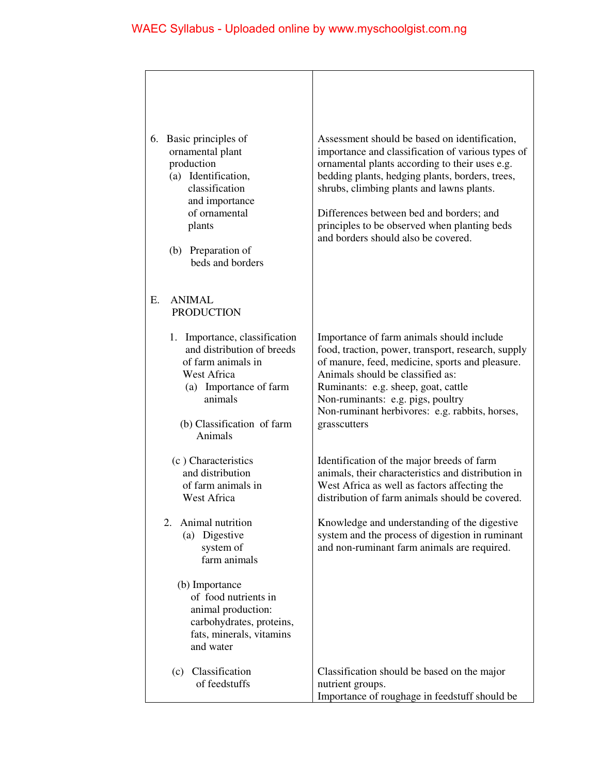$\overline{\phantom{a}}$ 

| 6.<br>Basic principles of<br>ornamental plant<br>production<br>(a) Identification,<br>classification<br>and importance<br>of ornamental<br>plants<br>(b) Preparation of<br>beds and borders | Assessment should be based on identification,<br>importance and classification of various types of<br>ornamental plants according to their uses e.g.<br>bedding plants, hedging plants, borders, trees,<br>shrubs, climbing plants and lawns plants.<br>Differences between bed and borders; and<br>principles to be observed when planting beds<br>and borders should also be covered. |
|---------------------------------------------------------------------------------------------------------------------------------------------------------------------------------------------|-----------------------------------------------------------------------------------------------------------------------------------------------------------------------------------------------------------------------------------------------------------------------------------------------------------------------------------------------------------------------------------------|
| <b>ANIMAL</b><br>Е.<br><b>PRODUCTION</b>                                                                                                                                                    |                                                                                                                                                                                                                                                                                                                                                                                         |
| 1. Importance, classification<br>and distribution of breeds<br>of farm animals in<br>West Africa<br>(a) Importance of farm<br>animals<br>(b) Classification of farm<br>Animals              | Importance of farm animals should include<br>food, traction, power, transport, research, supply<br>of manure, feed, medicine, sports and pleasure.<br>Animals should be classified as:<br>Ruminants: e.g. sheep, goat, cattle<br>Non-ruminants: e.g. pigs, poultry<br>Non-ruminant herbivores: e.g. rabbits, horses,<br>grasscutters                                                    |
| (c) Characteristics<br>and distribution<br>of farm animals in<br><b>West Africa</b>                                                                                                         | Identification of the major breeds of farm<br>animals, their characteristics and distribution in<br>West Africa as well as factors affecting the<br>distribution of farm animals should be covered.                                                                                                                                                                                     |
| Animal nutrition<br>2.<br>(a) Digestive<br>system of<br>farm animals                                                                                                                        | Knowledge and understanding of the digestive<br>system and the process of digestion in ruminant<br>and non-ruminant farm animals are required.                                                                                                                                                                                                                                          |
| (b) Importance<br>of food nutrients in<br>animal production:<br>carbohydrates, proteins,<br>fats, minerals, vitamins<br>and water                                                           |                                                                                                                                                                                                                                                                                                                                                                                         |
| (c) Classification<br>of feedstuffs                                                                                                                                                         | Classification should be based on the major<br>nutrient groups.<br>Importance of roughage in feedstuff should be                                                                                                                                                                                                                                                                        |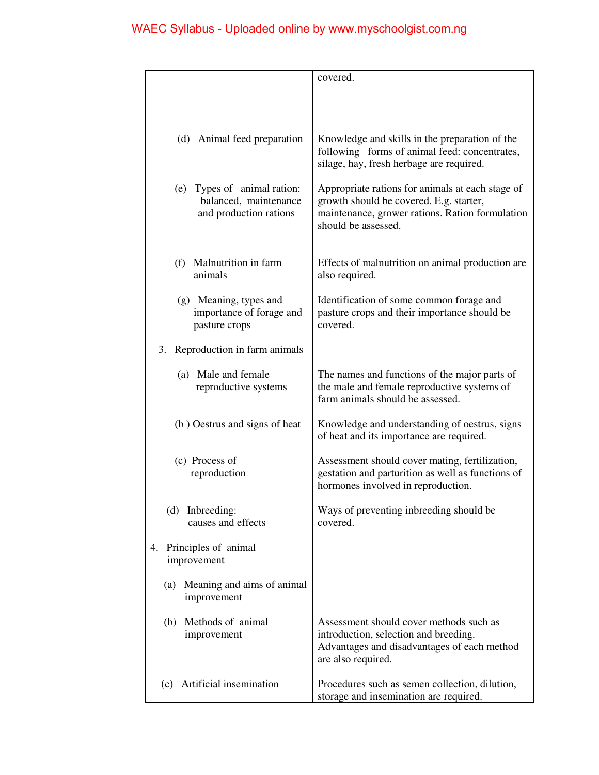|                                                      | covered.                                                                                    |
|------------------------------------------------------|---------------------------------------------------------------------------------------------|
|                                                      |                                                                                             |
|                                                      |                                                                                             |
|                                                      |                                                                                             |
| (d) Animal feed preparation                          | Knowledge and skills in the preparation of the                                              |
|                                                      | following forms of animal feed: concentrates,                                               |
|                                                      | silage, hay, fresh herbage are required.                                                    |
|                                                      |                                                                                             |
| (e) Types of animal ration:<br>balanced, maintenance | Appropriate rations for animals at each stage of<br>growth should be covered. E.g. starter, |
| and production rations                               | maintenance, grower rations. Ration formulation                                             |
|                                                      | should be assessed.                                                                         |
|                                                      |                                                                                             |
|                                                      |                                                                                             |
| (f) Malnutrition in farm<br>animals                  | Effects of malnutrition on animal production are                                            |
|                                                      | also required.                                                                              |
| (g) Meaning, types and                               | Identification of some common forage and                                                    |
| importance of forage and                             | pasture crops and their importance should be                                                |
| pasture crops                                        | covered.                                                                                    |
|                                                      |                                                                                             |
| Reproduction in farm animals<br>3.                   |                                                                                             |
| (a) Male and female                                  | The names and functions of the major parts of                                               |
| reproductive systems                                 | the male and female reproductive systems of                                                 |
|                                                      | farm animals should be assessed.                                                            |
|                                                      |                                                                                             |
| (b) Oestrus and signs of heat                        | Knowledge and understanding of oestrus, signs<br>of heat and its importance are required.   |
|                                                      |                                                                                             |
| (c) Process of                                       | Assessment should cover mating, fertilization,                                              |
| reproduction                                         | gestation and parturition as well as functions of                                           |
|                                                      | hormones involved in reproduction.                                                          |
|                                                      |                                                                                             |
| (d) Inbreeding:<br>causes and effects                | Ways of preventing inbreeding should be<br>covered.                                         |
|                                                      |                                                                                             |
| 4. Principles of animal                              |                                                                                             |
| improvement                                          |                                                                                             |
|                                                      |                                                                                             |
| Meaning and aims of animal<br>(a)                    |                                                                                             |
| improvement                                          |                                                                                             |
| (b) Methods of animal                                | Assessment should cover methods such as                                                     |
| improvement                                          | introduction, selection and breeding.                                                       |
|                                                      | Advantages and disadvantages of each method                                                 |
|                                                      | are also required.                                                                          |
| Artificial insemination<br>(c)                       | Procedures such as semen collection, dilution,                                              |
|                                                      | storage and insemination are required.                                                      |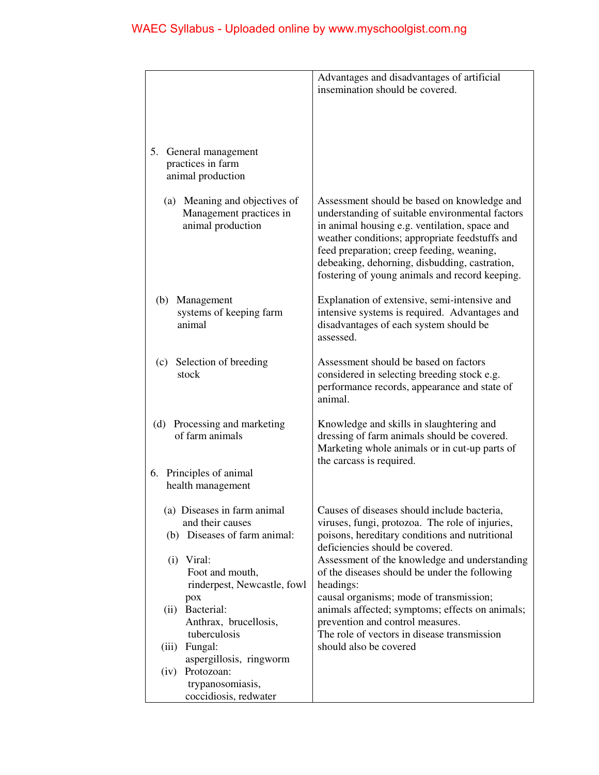|                                       | Advantages and disadvantages of artificial                                                      |
|---------------------------------------|-------------------------------------------------------------------------------------------------|
|                                       | insemination should be covered.                                                                 |
|                                       |                                                                                                 |
|                                       |                                                                                                 |
|                                       |                                                                                                 |
|                                       |                                                                                                 |
| 5. General management                 |                                                                                                 |
| practices in farm                     |                                                                                                 |
| animal production                     |                                                                                                 |
|                                       |                                                                                                 |
| (a) Meaning and objectives of         | Assessment should be based on knowledge and                                                     |
| Management practices in               | understanding of suitable environmental factors                                                 |
| animal production                     | in animal housing e.g. ventilation, space and<br>weather conditions; appropriate feedstuffs and |
|                                       | feed preparation; creep feeding, weaning,                                                       |
|                                       | debeaking, dehorning, disbudding, castration,                                                   |
|                                       | fostering of young animals and record keeping.                                                  |
|                                       |                                                                                                 |
| (b) Management                        | Explanation of extensive, semi-intensive and                                                    |
| systems of keeping farm               | intensive systems is required. Advantages and                                                   |
| animal                                | disadvantages of each system should be                                                          |
|                                       | assessed.                                                                                       |
|                                       |                                                                                                 |
| (c) Selection of breeding             | Assessment should be based on factors                                                           |
| stock                                 | considered in selecting breeding stock e.g.                                                     |
|                                       | performance records, appearance and state of                                                    |
|                                       | animal.                                                                                         |
| (d) Processing and marketing          | Knowledge and skills in slaughtering and                                                        |
| of farm animals                       | dressing of farm animals should be covered.                                                     |
|                                       | Marketing whole animals or in cut-up parts of                                                   |
|                                       | the carcass is required.                                                                        |
| 6. Principles of animal               |                                                                                                 |
| health management                     |                                                                                                 |
|                                       |                                                                                                 |
| (a) Diseases in farm animal           | Causes of diseases should include bacteria,                                                     |
| and their causes                      | viruses, fungi, protozoa. The role of injuries,                                                 |
| (b) Diseases of farm animal:          | poisons, hereditary conditions and nutritional                                                  |
|                                       | deficiencies should be covered.                                                                 |
| $(i)$ Viral:                          | Assessment of the knowledge and understanding                                                   |
| Foot and mouth,                       | of the diseases should be under the following                                                   |
| rinderpest, Newcastle, fowl           | headings:                                                                                       |
| pox<br>Bacterial:                     | causal organisms; mode of transmission;                                                         |
| (ii)                                  | animals affected; symptoms; effects on animals;                                                 |
| Anthrax, brucellosis,<br>tuberculosis | prevention and control measures.<br>The role of vectors in disease transmission                 |
| Fungal:<br>(iii)                      | should also be covered                                                                          |
| aspergillosis, ringworm               |                                                                                                 |
| (iv) Protozoan:                       |                                                                                                 |
| trypanosomiasis,                      |                                                                                                 |
| coccidiosis, redwater                 |                                                                                                 |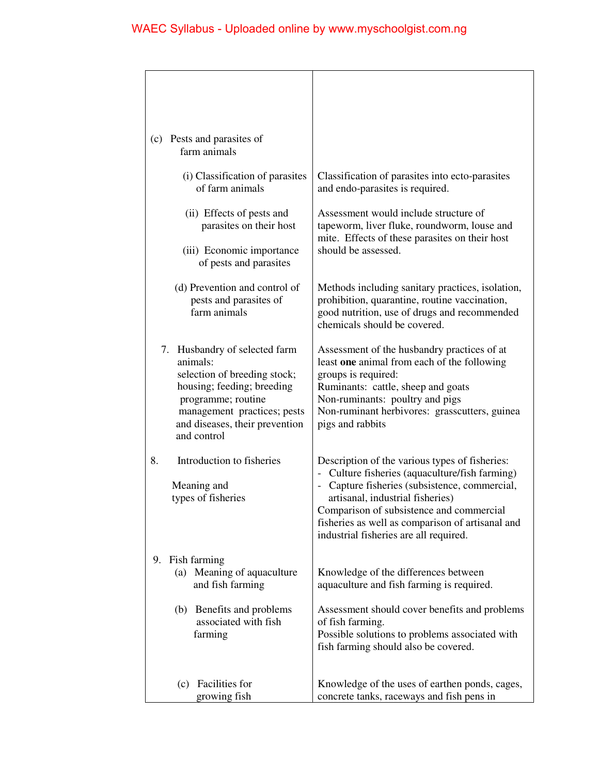| (c) Pests and parasites of<br>farm animals                                                                                                                                                                    |                                                                                                                                                                                                                                                                                                                                                                              |
|---------------------------------------------------------------------------------------------------------------------------------------------------------------------------------------------------------------|------------------------------------------------------------------------------------------------------------------------------------------------------------------------------------------------------------------------------------------------------------------------------------------------------------------------------------------------------------------------------|
| (i) Classification of parasites<br>of farm animals                                                                                                                                                            | Classification of parasites into ecto-parasites<br>and endo-parasites is required.                                                                                                                                                                                                                                                                                           |
| (ii) Effects of pests and<br>parasites on their host                                                                                                                                                          | Assessment would include structure of<br>tapeworm, liver fluke, roundworm, louse and                                                                                                                                                                                                                                                                                         |
| (iii) Economic importance<br>of pests and parasites                                                                                                                                                           | mite. Effects of these parasites on their host<br>should be assessed.                                                                                                                                                                                                                                                                                                        |
| (d) Prevention and control of<br>pests and parasites of<br>farm animals                                                                                                                                       | Methods including sanitary practices, isolation,<br>prohibition, quarantine, routine vaccination,<br>good nutrition, use of drugs and recommended<br>chemicals should be covered.                                                                                                                                                                                            |
| 7. Husbandry of selected farm<br>animals:<br>selection of breeding stock;<br>housing; feeding; breeding<br>programme; routine<br>management practices; pests<br>and diseases, their prevention<br>and control | Assessment of the husbandry practices of at<br>least one animal from each of the following<br>groups is required:<br>Ruminants: cattle, sheep and goats<br>Non-ruminants: poultry and pigs<br>Non-ruminant herbivores: grasscutters, guinea<br>pigs and rabbits                                                                                                              |
| Introduction to fisheries<br>8.<br>Meaning and<br>types of fisheries                                                                                                                                          | Description of the various types of fisheries:<br>Culture fisheries (aquaculture/fish farming)<br>$\qquad \qquad \blacksquare$<br>Capture fisheries (subsistence, commercial,<br>$\frac{1}{2}$<br>artisanal, industrial fisheries)<br>Comparison of subsistence and commercial<br>fisheries as well as comparison of artisanal and<br>industrial fisheries are all required. |
| 9. Fish farming<br>(a) Meaning of aquaculture<br>and fish farming                                                                                                                                             | Knowledge of the differences between<br>aquaculture and fish farming is required.                                                                                                                                                                                                                                                                                            |
| (b) Benefits and problems<br>associated with fish<br>farming                                                                                                                                                  | Assessment should cover benefits and problems<br>of fish farming.<br>Possible solutions to problems associated with<br>fish farming should also be covered.                                                                                                                                                                                                                  |
| (c) Facilities for<br>growing fish                                                                                                                                                                            | Knowledge of the uses of earthen ponds, cages,<br>concrete tanks, raceways and fish pens in                                                                                                                                                                                                                                                                                  |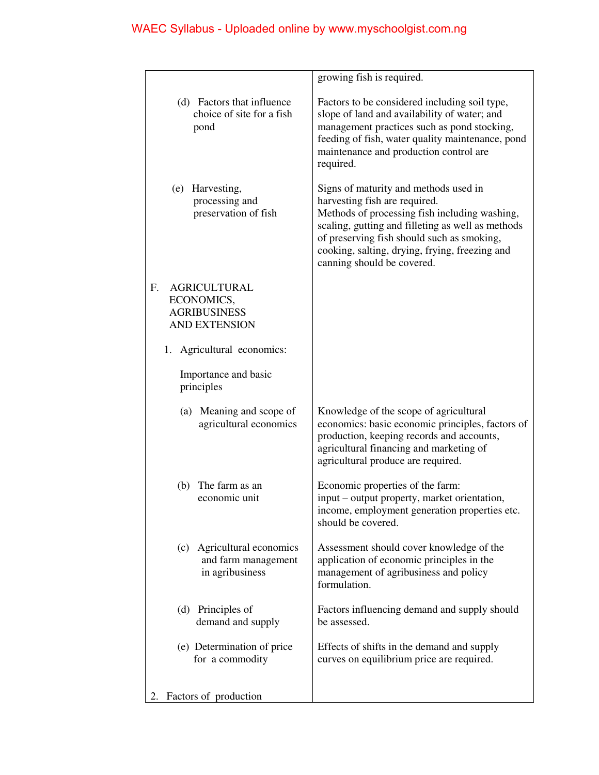|                                                                                                    | growing fish is required.                                                                                                                                                                                                                                                                                  |
|----------------------------------------------------------------------------------------------------|------------------------------------------------------------------------------------------------------------------------------------------------------------------------------------------------------------------------------------------------------------------------------------------------------------|
| (d) Factors that influence<br>choice of site for a fish<br>pond                                    | Factors to be considered including soil type,<br>slope of land and availability of water; and<br>management practices such as pond stocking,<br>feeding of fish, water quality maintenance, pond<br>maintenance and production control are<br>required.                                                    |
| Harvesting,<br>(e)<br>processing and<br>preservation of fish                                       | Signs of maturity and methods used in<br>harvesting fish are required.<br>Methods of processing fish including washing,<br>scaling, gutting and filleting as well as methods<br>of preserving fish should such as smoking,<br>cooking, salting, drying, frying, freezing and<br>canning should be covered. |
| F <sub>r</sub><br><b>AGRICULTURAL</b><br>ECONOMICS,<br><b>AGRIBUSINESS</b><br><b>AND EXTENSION</b> |                                                                                                                                                                                                                                                                                                            |
| Agricultural economics:<br>1.                                                                      |                                                                                                                                                                                                                                                                                                            |
| Importance and basic<br>principles                                                                 |                                                                                                                                                                                                                                                                                                            |
| (a) Meaning and scope of<br>agricultural economics                                                 | Knowledge of the scope of agricultural<br>economics: basic economic principles, factors of<br>production, keeping records and accounts,<br>agricultural financing and marketing of<br>agricultural produce are required.                                                                                   |
| The farm as an<br>(b)<br>economic unit                                                             | Economic properties of the farm:<br>input – output property, market orientation,<br>income, employment generation properties etc.<br>should be covered.                                                                                                                                                    |
| (c) Agricultural economics<br>and farm management<br>in agribusiness                               | Assessment should cover knowledge of the<br>application of economic principles in the<br>management of agribusiness and policy<br>formulation.                                                                                                                                                             |
| (d) Principles of<br>demand and supply                                                             | Factors influencing demand and supply should<br>be assessed.                                                                                                                                                                                                                                               |
| (e) Determination of price<br>for a commodity                                                      | Effects of shifts in the demand and supply<br>curves on equilibrium price are required.                                                                                                                                                                                                                    |
| Factors of production                                                                              |                                                                                                                                                                                                                                                                                                            |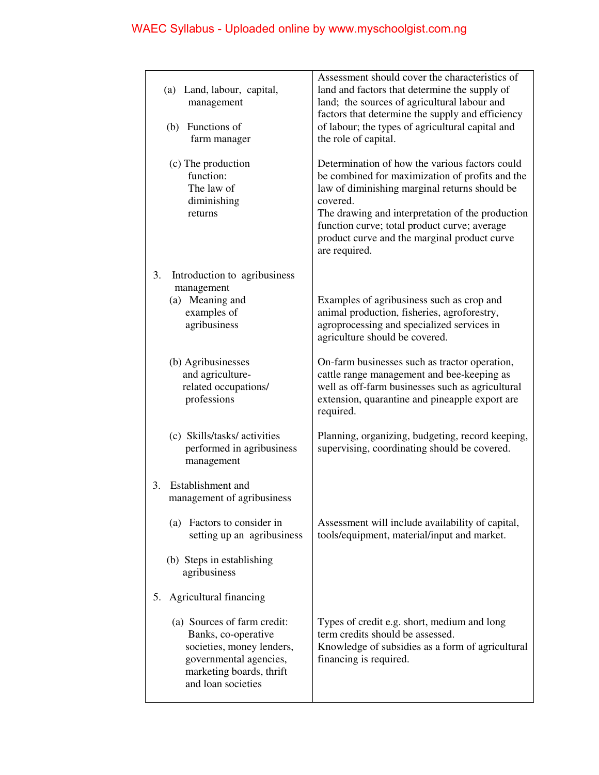| (a) Land, labour, capital,<br>management<br>(b) Functions of<br>farm manager                                                                                | Assessment should cover the characteristics of<br>land and factors that determine the supply of<br>land; the sources of agricultural labour and<br>factors that determine the supply and efficiency<br>of labour; the types of agricultural capital and<br>the role of capital.                                                     |
|-------------------------------------------------------------------------------------------------------------------------------------------------------------|-------------------------------------------------------------------------------------------------------------------------------------------------------------------------------------------------------------------------------------------------------------------------------------------------------------------------------------|
| (c) The production<br>function:<br>The law of<br>diminishing<br>returns                                                                                     | Determination of how the various factors could<br>be combined for maximization of profits and the<br>law of diminishing marginal returns should be<br>covered.<br>The drawing and interpretation of the production<br>function curve; total product curve; average<br>product curve and the marginal product curve<br>are required. |
| 3.<br>Introduction to agribusiness                                                                                                                          |                                                                                                                                                                                                                                                                                                                                     |
| management<br>(a) Meaning and<br>examples of<br>agribusiness                                                                                                | Examples of agribusiness such as crop and<br>animal production, fisheries, agroforestry,<br>agroprocessing and specialized services in<br>agriculture should be covered.                                                                                                                                                            |
| (b) Agribusinesses<br>and agriculture-<br>related occupations/<br>professions                                                                               | On-farm businesses such as tractor operation,<br>cattle range management and bee-keeping as<br>well as off-farm businesses such as agricultural<br>extension, quarantine and pineapple export are<br>required.                                                                                                                      |
| (c) Skills/tasks/ activities<br>performed in agribusiness<br>management                                                                                     | Planning, organizing, budgeting, record keeping,<br>supervising, coordinating should be covered.                                                                                                                                                                                                                                    |
| Establishment and<br>3.<br>management of agribusiness                                                                                                       |                                                                                                                                                                                                                                                                                                                                     |
| (a) Factors to consider in<br>setting up an agribusiness                                                                                                    | Assessment will include availability of capital,<br>tools/equipment, material/input and market.                                                                                                                                                                                                                                     |
| (b) Steps in establishing<br>agribusiness                                                                                                                   |                                                                                                                                                                                                                                                                                                                                     |
| Agricultural financing<br>5.                                                                                                                                |                                                                                                                                                                                                                                                                                                                                     |
| (a) Sources of farm credit:<br>Banks, co-operative<br>societies, money lenders,<br>governmental agencies,<br>marketing boards, thrift<br>and loan societies | Types of credit e.g. short, medium and long<br>term credits should be assessed.<br>Knowledge of subsidies as a form of agricultural<br>financing is required.                                                                                                                                                                       |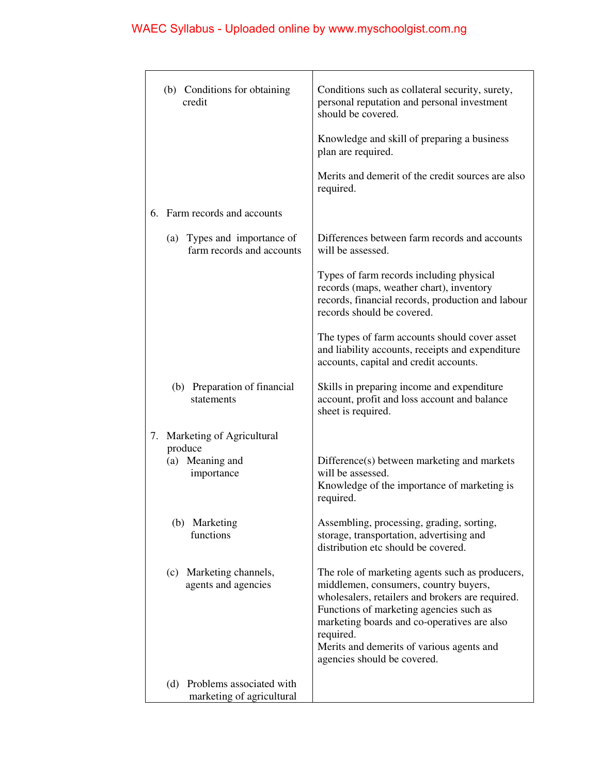| credit                        | (b) Conditions for obtaining                              | Conditions such as collateral security, surety,<br>personal reputation and personal investment<br>should be covered.                                                                                                                                                                                                            |
|-------------------------------|-----------------------------------------------------------|---------------------------------------------------------------------------------------------------------------------------------------------------------------------------------------------------------------------------------------------------------------------------------------------------------------------------------|
|                               |                                                           | Knowledge and skill of preparing a business<br>plan are required.                                                                                                                                                                                                                                                               |
|                               |                                                           | Merits and demerit of the credit sources are also<br>required.                                                                                                                                                                                                                                                                  |
| 6. Farm records and accounts  |                                                           |                                                                                                                                                                                                                                                                                                                                 |
|                               | (a) Types and importance of<br>farm records and accounts  | Differences between farm records and accounts<br>will be assessed.                                                                                                                                                                                                                                                              |
|                               |                                                           | Types of farm records including physical<br>records (maps, weather chart), inventory<br>records, financial records, production and labour<br>records should be covered.                                                                                                                                                         |
|                               |                                                           | The types of farm accounts should cover asset<br>and liability accounts, receipts and expenditure<br>accounts, capital and credit accounts.                                                                                                                                                                                     |
| statements                    | (b) Preparation of financial                              | Skills in preparing income and expenditure<br>account, profit and loss account and balance<br>sheet is required.                                                                                                                                                                                                                |
| 7.<br>produce                 | Marketing of Agricultural                                 |                                                                                                                                                                                                                                                                                                                                 |
| (a) Meaning and<br>importance |                                                           | Difference(s) between marketing and markets<br>will be assessed.<br>Knowledge of the importance of marketing is<br>required.                                                                                                                                                                                                    |
| (b) Marketing<br>functions    |                                                           | Assembling, processing, grading, sorting,<br>storage, transportation, advertising and<br>distribution etc should be covered.                                                                                                                                                                                                    |
|                               | (c) Marketing channels,<br>agents and agencies            | The role of marketing agents such as producers,<br>middlemen, consumers, country buyers,<br>wholesalers, retailers and brokers are required.<br>Functions of marketing agencies such as<br>marketing boards and co-operatives are also<br>required.<br>Merits and demerits of various agents and<br>agencies should be covered. |
|                               | (d) Problems associated with<br>marketing of agricultural |                                                                                                                                                                                                                                                                                                                                 |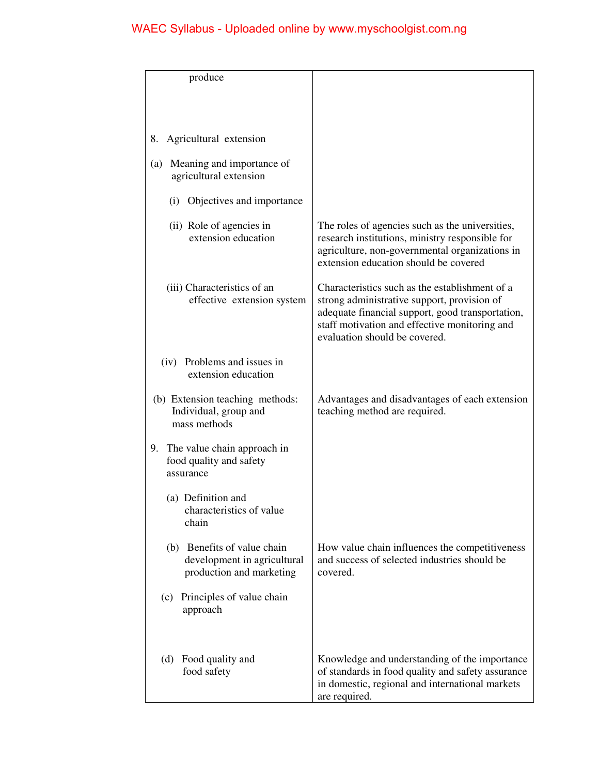| produce                                                                                |                                                                                                                                                                                                                                     |
|----------------------------------------------------------------------------------------|-------------------------------------------------------------------------------------------------------------------------------------------------------------------------------------------------------------------------------------|
|                                                                                        |                                                                                                                                                                                                                                     |
|                                                                                        |                                                                                                                                                                                                                                     |
| Agricultural extension<br>8.                                                           |                                                                                                                                                                                                                                     |
| Meaning and importance of<br>(a)<br>agricultural extension                             |                                                                                                                                                                                                                                     |
| Objectives and importance<br>(i)                                                       |                                                                                                                                                                                                                                     |
| (ii) Role of agencies in<br>extension education                                        | The roles of agencies such as the universities,<br>research institutions, ministry responsible for<br>agriculture, non-governmental organizations in<br>extension education should be covered                                       |
| (iii) Characteristics of an<br>effective extension system                              | Characteristics such as the establishment of a<br>strong administrative support, provision of<br>adequate financial support, good transportation,<br>staff motivation and effective monitoring and<br>evaluation should be covered. |
| (iv) Problems and issues in<br>extension education                                     |                                                                                                                                                                                                                                     |
| (b) Extension teaching methods:<br>Individual, group and<br>mass methods               | Advantages and disadvantages of each extension<br>teaching method are required.                                                                                                                                                     |
| 9. The value chain approach in<br>food quality and safety<br>assurance                 |                                                                                                                                                                                                                                     |
| (a) Definition and<br>characteristics of value<br>chain                                |                                                                                                                                                                                                                                     |
| (b) Benefits of value chain<br>development in agricultural<br>production and marketing | How value chain influences the competitiveness<br>and success of selected industries should be<br>covered.                                                                                                                          |
| Principles of value chain<br>(c)<br>approach                                           |                                                                                                                                                                                                                                     |
| Food quality and<br>(d)<br>food safety                                                 | Knowledge and understanding of the importance<br>of standards in food quality and safety assurance<br>in domestic, regional and international markets<br>are required.                                                              |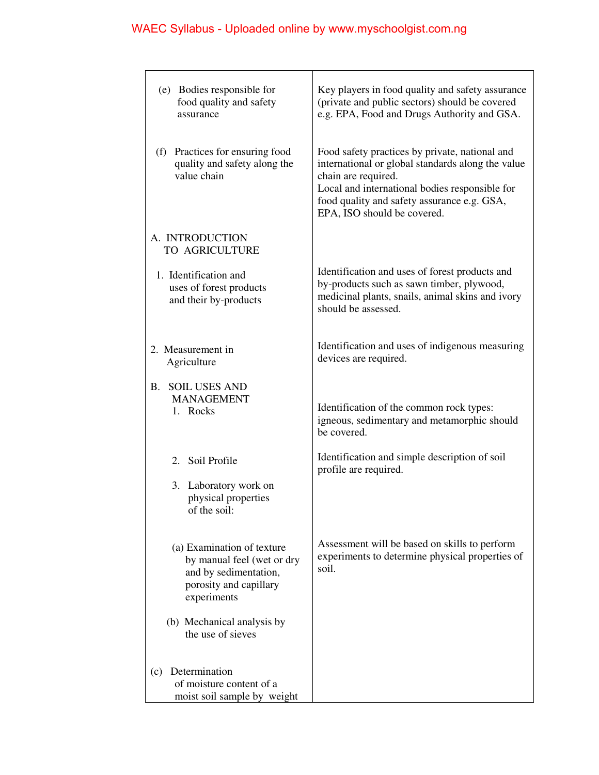| (e) Bodies responsible for<br>food quality and safety<br>assurance                                                         | Key players in food quality and safety assurance<br>(private and public sectors) should be covered<br>e.g. EPA, Food and Drugs Authority and GSA.                                                                                                          |
|----------------------------------------------------------------------------------------------------------------------------|------------------------------------------------------------------------------------------------------------------------------------------------------------------------------------------------------------------------------------------------------------|
| (f) Practices for ensuring food<br>quality and safety along the<br>value chain                                             | Food safety practices by private, national and<br>international or global standards along the value<br>chain are required.<br>Local and international bodies responsible for<br>food quality and safety assurance e.g. GSA,<br>EPA, ISO should be covered. |
| A. INTRODUCTION<br>TO AGRICULTURE                                                                                          |                                                                                                                                                                                                                                                            |
| 1. Identification and<br>uses of forest products<br>and their by-products                                                  | Identification and uses of forest products and<br>by-products such as sawn timber, plywood,<br>medicinal plants, snails, animal skins and ivory<br>should be assessed.                                                                                     |
| 2. Measurement in<br>Agriculture                                                                                           | Identification and uses of indigenous measuring<br>devices are required.                                                                                                                                                                                   |
| <b>B. SOIL USES AND</b><br><b>MANAGEMENT</b><br>1. Rocks                                                                   | Identification of the common rock types:<br>igneous, sedimentary and metamorphic should<br>be covered.                                                                                                                                                     |
| 2. Soil Profile<br>3. Laboratory work on<br>physical properties<br>of the soil:                                            | Identification and simple description of soil<br>profile are required.                                                                                                                                                                                     |
| (a) Examination of texture<br>by manual feel (wet or dry<br>and by sedimentation,<br>porosity and capillary<br>experiments | Assessment will be based on skills to perform<br>experiments to determine physical properties of<br>soil.                                                                                                                                                  |
| (b) Mechanical analysis by<br>the use of sieves                                                                            |                                                                                                                                                                                                                                                            |
| Determination<br>(c)<br>of moisture content of a<br>moist soil sample by weight                                            |                                                                                                                                                                                                                                                            |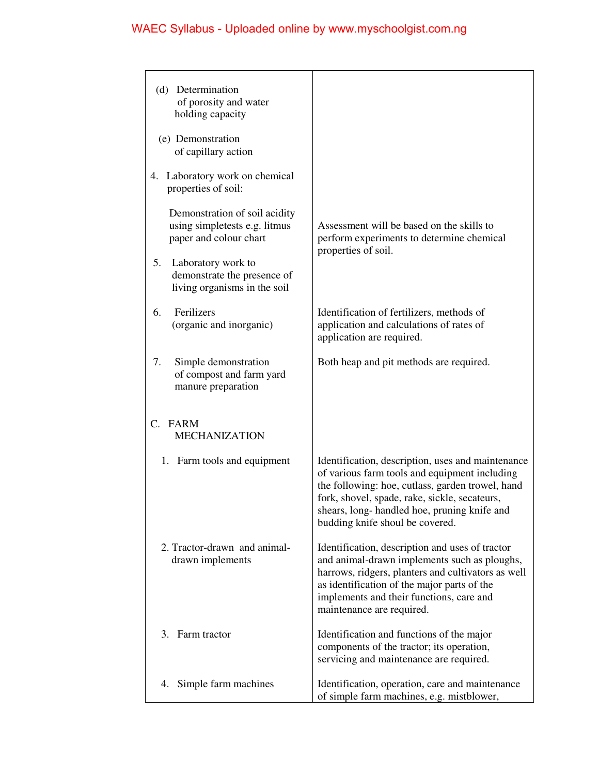| (d) Determination<br>of porosity and water<br>holding capacity                           |                                                                                                                                                                                                                                                                                           |
|------------------------------------------------------------------------------------------|-------------------------------------------------------------------------------------------------------------------------------------------------------------------------------------------------------------------------------------------------------------------------------------------|
| (e) Demonstration<br>of capillary action                                                 |                                                                                                                                                                                                                                                                                           |
| 4. Laboratory work on chemical<br>properties of soil:                                    |                                                                                                                                                                                                                                                                                           |
| Demonstration of soil acidity<br>using simpletests e.g. litmus<br>paper and colour chart | Assessment will be based on the skills to<br>perform experiments to determine chemical<br>properties of soil.                                                                                                                                                                             |
| 5.<br>Laboratory work to<br>demonstrate the presence of<br>living organisms in the soil  |                                                                                                                                                                                                                                                                                           |
| Ferilizers<br>6.<br>(organic and inorganic)                                              | Identification of fertilizers, methods of<br>application and calculations of rates of<br>application are required.                                                                                                                                                                        |
| Simple demonstration<br>7.<br>of compost and farm yard<br>manure preparation             | Both heap and pit methods are required.                                                                                                                                                                                                                                                   |
| C. FARM<br><b>MECHANIZATION</b>                                                          |                                                                                                                                                                                                                                                                                           |
| 1. Farm tools and equipment                                                              | Identification, description, uses and maintenance<br>of various farm tools and equipment including<br>the following: hoe, cutlass, garden trowel, hand<br>fork, shovel, spade, rake, sickle, secateurs,<br>shears, long-handled hoe, pruning knife and<br>budding knife shoul be covered. |
| 2. Tractor-drawn and animal-<br>drawn implements                                         | Identification, description and uses of tractor<br>and animal-drawn implements such as ploughs,<br>harrows, ridgers, planters and cultivators as well<br>as identification of the major parts of the<br>implements and their functions, care and<br>maintenance are required.             |
| 3. Farm tractor                                                                          | Identification and functions of the major<br>components of the tractor; its operation,<br>servicing and maintenance are required.                                                                                                                                                         |
| Simple farm machines<br>4.                                                               | Identification, operation, care and maintenance<br>of simple farm machines, e.g. mistblower,                                                                                                                                                                                              |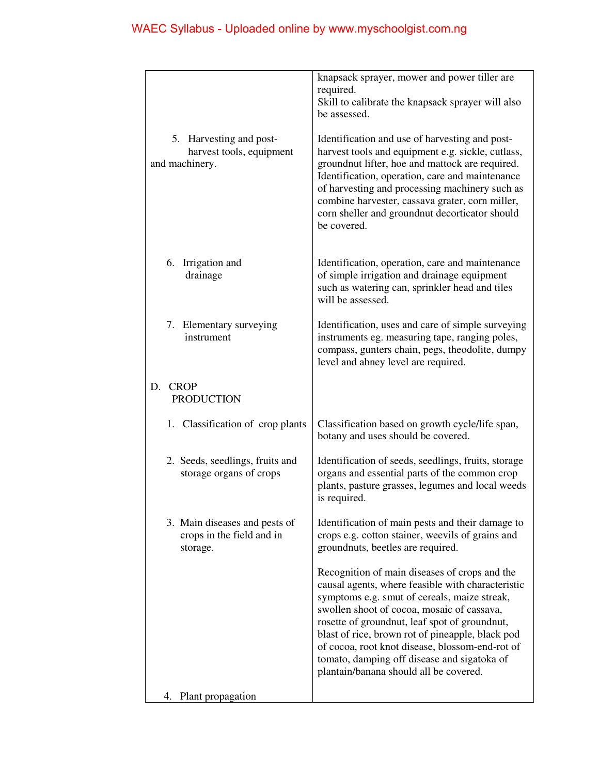| 5. Harvesting and post-<br>harvest tools, equipment<br>and machinery.  | knapsack sprayer, mower and power tiller are<br>required.<br>Skill to calibrate the knapsack sprayer will also<br>be assessed.<br>Identification and use of harvesting and post-<br>harvest tools and equipment e.g. sickle, cutlass,<br>groundnut lifter, hoe and mattock are required.<br>Identification, operation, care and maintenance<br>of harvesting and processing machinery such as<br>combine harvester, cassava grater, corn miller,<br>corn sheller and groundnut decorticator should<br>be covered. |
|------------------------------------------------------------------------|-------------------------------------------------------------------------------------------------------------------------------------------------------------------------------------------------------------------------------------------------------------------------------------------------------------------------------------------------------------------------------------------------------------------------------------------------------------------------------------------------------------------|
| 6. Irrigation and<br>drainage                                          | Identification, operation, care and maintenance<br>of simple irrigation and drainage equipment<br>such as watering can, sprinkler head and tiles<br>will be assessed.                                                                                                                                                                                                                                                                                                                                             |
| 7. Elementary surveying<br>instrument                                  | Identification, uses and care of simple surveying<br>instruments eg. measuring tape, ranging poles,<br>compass, gunters chain, pegs, theodolite, dumpy<br>level and abney level are required.                                                                                                                                                                                                                                                                                                                     |
| <b>CROP</b><br>D.<br><b>PRODUCTION</b>                                 |                                                                                                                                                                                                                                                                                                                                                                                                                                                                                                                   |
| 1. Classification of crop plants                                       | Classification based on growth cycle/life span,<br>botany and uses should be covered.                                                                                                                                                                                                                                                                                                                                                                                                                             |
| 2. Seeds, seedlings, fruits and<br>storage organs of crops             | Identification of seeds, seedlings, fruits, storage<br>organs and essential parts of the common crop<br>plants, pasture grasses, legumes and local weeds<br>is required.                                                                                                                                                                                                                                                                                                                                          |
| 3. Main diseases and pests of<br>crops in the field and in<br>storage. | Identification of main pests and their damage to<br>crops e.g. cotton stainer, weevils of grains and<br>groundnuts, beetles are required.                                                                                                                                                                                                                                                                                                                                                                         |
|                                                                        | Recognition of main diseases of crops and the<br>causal agents, where feasible with characteristic<br>symptoms e.g. smut of cereals, maize streak,<br>swollen shoot of cocoa, mosaic of cassava,<br>rosette of groundnut, leaf spot of groundnut,<br>blast of rice, brown rot of pineapple, black pod<br>of cocoa, root knot disease, blossom-end-rot of<br>tomato, damping off disease and sigatoka of<br>plantain/banana should all be covered.                                                                 |
| Plant propagation<br>4.                                                |                                                                                                                                                                                                                                                                                                                                                                                                                                                                                                                   |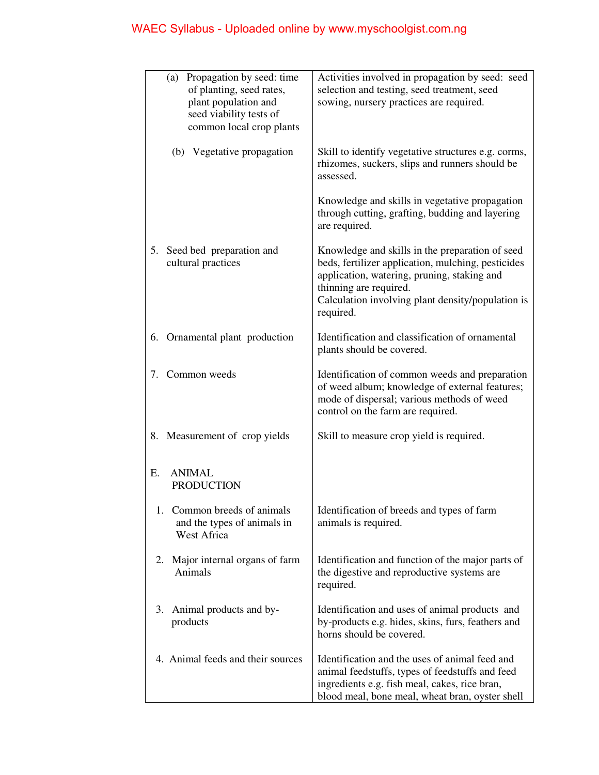| Propagation by seed: time<br>(a)<br>of planting, seed rates,<br>plant population and<br>seed viability tests of<br>common local crop plants | Activities involved in propagation by seed: seed<br>selection and testing, seed treatment, seed<br>sowing, nursery practices are required.                                                                                                       |
|---------------------------------------------------------------------------------------------------------------------------------------------|--------------------------------------------------------------------------------------------------------------------------------------------------------------------------------------------------------------------------------------------------|
| (b) Vegetative propagation                                                                                                                  | Skill to identify vegetative structures e.g. corms,<br>rhizomes, suckers, slips and runners should be<br>assessed.                                                                                                                               |
|                                                                                                                                             | Knowledge and skills in vegetative propagation<br>through cutting, grafting, budding and layering<br>are required.                                                                                                                               |
| Seed bed preparation and<br>5.<br>cultural practices                                                                                        | Knowledge and skills in the preparation of seed<br>beds, fertilizer application, mulching, pesticides<br>application, watering, pruning, staking and<br>thinning are required.<br>Calculation involving plant density/population is<br>required. |
| Ornamental plant production<br>6.                                                                                                           | Identification and classification of ornamental<br>plants should be covered.                                                                                                                                                                     |
| Common weeds<br>7.                                                                                                                          | Identification of common weeds and preparation<br>of weed album; knowledge of external features;<br>mode of dispersal; various methods of weed<br>control on the farm are required.                                                              |
| 8. Measurement of crop yields                                                                                                               | Skill to measure crop yield is required.                                                                                                                                                                                                         |
| <b>ANIMAL</b><br>Е.<br><b>PRODUCTION</b>                                                                                                    |                                                                                                                                                                                                                                                  |
| 1. Common breeds of animals<br>and the types of animals in<br>West Africa                                                                   | Identification of breeds and types of farm<br>animals is required.                                                                                                                                                                               |
| 2. Major internal organs of farm<br>Animals                                                                                                 | Identification and function of the major parts of<br>the digestive and reproductive systems are<br>required.                                                                                                                                     |
| 3. Animal products and by-<br>products                                                                                                      | Identification and uses of animal products and<br>by-products e.g. hides, skins, furs, feathers and<br>horns should be covered.                                                                                                                  |
| 4. Animal feeds and their sources                                                                                                           | Identification and the uses of animal feed and<br>animal feedstuffs, types of feedstuffs and feed<br>ingredients e.g. fish meal, cakes, rice bran,<br>blood meal, bone meal, wheat bran, oyster shell                                            |